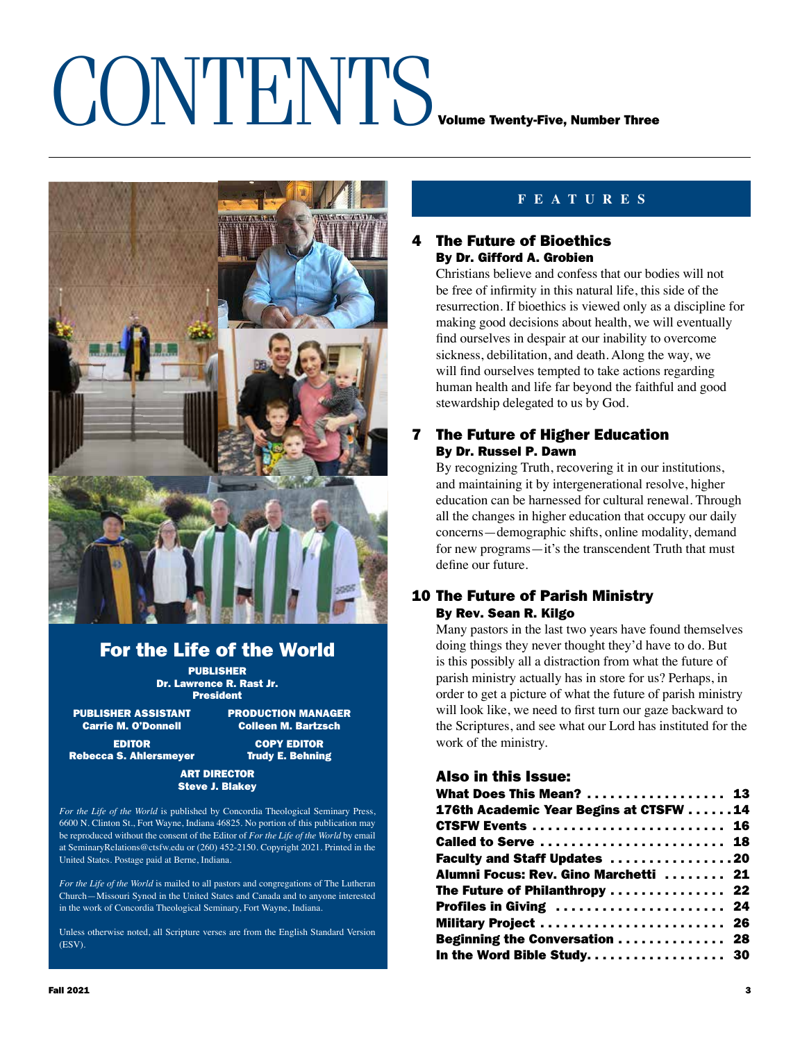# CONTENTS VOLUME TWENTING, Number Three



# For the Life of the World

PUBLISHER Dr. Lawrence R. Rast Jr. President

PUBLISHER ASSISTANT PRODUCTION MANAGER<br>Carrie M. O'Donnell Colleen M. Bartzsch

**Colleen M. Bartzsch** EDITOR COPY EDITOR

Rebecca S. Ahlersmeyer Trudy E. Behning

### ART DIRECTOR Steve J. Blakey

*For the Life of the World* is published by Concordia Theological Seminary Press, 6600 N. Clinton St., Fort Wayne, Indiana 46825. No portion of this publication may be reproduced without the consent of the Editor of *For the Life of the World* by email at SeminaryRelations@ctsfw.edu or (260) 452-2150. Copyright 2021. Printed in the United States. Postage paid at Berne, Indiana.

*For the Life of the World* is mailed to all pastors and congregations of The Lutheran Church—Missouri Synod in the United States and Canada and to anyone interested in the work of Concordia Theological Seminary, Fort Wayne, Indiana.

Unless otherwise noted, all Scripture verses are from the English Standard Version (ESV).

## **FEATURES**

### **The Future of Bioethics** By Dr. Gifford A. Grobien

Christians believe and confess that our bodies will not be free of infirmity in this natural life, this side of the resurrection. If bioethics is viewed only as a discipline for making good decisions about health, we will eventually find ourselves in despair at our inability to overcome sickness, debilitation, and death. Along the way, we will find ourselves tempted to take actions regarding human health and life far beyond the faithful and good stewardship delegated to us by God.

### 7 The Future of Higher Education By Dr. Russel P. Dawn

By recognizing Truth, recovering it in our institutions, and maintaining it by intergenerational resolve, higher education can be harnessed for cultural renewal. Through all the changes in higher education that occupy our daily concerns—demographic shifts, online modality, demand for new programs—it's the transcendent Truth that must define our future.

### 10 The Future of Parish Ministry By Rev. Sean R. Kilgo

Many pastors in the last two years have found themselves doing things they never thought they'd have to do. But is this possibly all a distraction from what the future of parish ministry actually has in store for us? Perhaps, in order to get a picture of what the future of parish ministry will look like, we need to first turn our gaze backward to the Scriptures, and see what our Lord has instituted for the work of the ministry.

### Also in this Issue:

| What Does This Mean?  13               |  |
|----------------------------------------|--|
| 176th Academic Year Begins at CTSFW 14 |  |
| CTSFW Events  16                       |  |
| Called to Serve  18                    |  |
| Faculty and Staff Updates 20           |  |
| Alumni Focus: Rev. Gino Marchetti  21  |  |
| The Future of Philanthropy  22         |  |
| Profiles in Giving  24                 |  |
| Military Project  26                   |  |
| Beginning the Conversation  28         |  |
| In the Word Bible Study 30             |  |